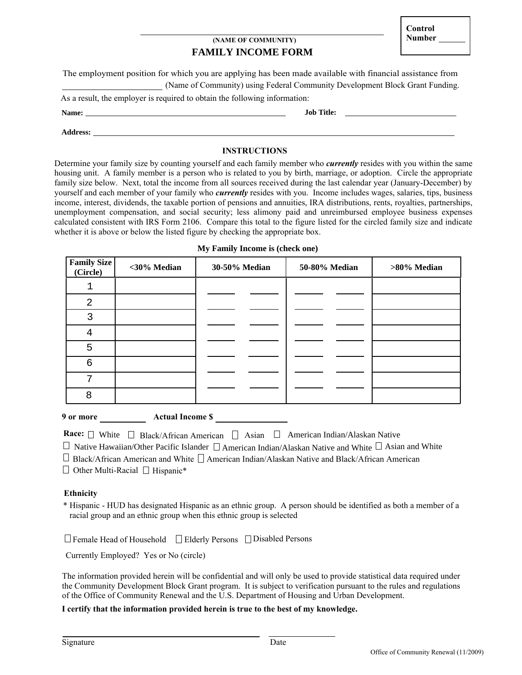# **FAMILY INCOME FORM (NAME OF COMMUNITY)** Number

The employment position for which you are applying has been made available with financial assistance from (Name of Community) using Federal Community Development Block Grant Funding.

As a result, the employer is required to obtain the following information:

**Name: Job Title:**

**Address:**

## **INSTRUCTIONS**

Determine your family size by counting yourself and each family member who *currently* resides with you within the same housing unit. A family member is a person who is related to you by birth, marriage, or adoption. Circle the appropriate family size below. Next, total the income from all sources received during the last calendar year (January-December) by yourself and each member of your family who *currently* resides with you. Income includes wages, salaries, tips, business income, interest, dividends, the taxable portion of pensions and annuities, IRA distributions, rents, royalties, partnerships, unemployment compensation, and social security; less alimony paid and unreimbursed employee business expenses calculated consistent with IRS Form 2106. Compare this total to the figure listed for the circled family size and indicate whether it is above or below the listed figure by checking the appropriate box.

## **My Family Income is (check one)**

| <b>Family Size</b><br>(Circle) | <30% Median | 30-50% Median | 50-80% Median | >80% Median |  |  |  |
|--------------------------------|-------------|---------------|---------------|-------------|--|--|--|
| ⊥                              |             |               |               |             |  |  |  |
| 2                              |             |               |               |             |  |  |  |
| 3                              |             |               |               |             |  |  |  |
| 4                              |             |               |               |             |  |  |  |
| 5                              |             |               |               |             |  |  |  |
| 6                              |             |               |               |             |  |  |  |
| $\mathbf{r}$                   |             |               |               |             |  |  |  |
| 8                              |             |               |               |             |  |  |  |

#### **9 or more Actual Income \$**

| <b>Race:</b> $\Box$ White $\Box$ Black/African American $\Box$ Asian $\Box$ American Indian/Alaskan Native |  |  |  |  |
|------------------------------------------------------------------------------------------------------------|--|--|--|--|
|------------------------------------------------------------------------------------------------------------|--|--|--|--|

 $\Box$  Native Hawaiian/Other Pacific Islander  $\Box$  American Indian/Alaskan Native and White  $\Box$  Asian and White

Black/African American and White  $\Box$  American Indian/Alaskan Native and Black/African American

Other Multi-Racial  $\Box$  Hispanic\*

#### **Ethnicity**

\* Hispanic - HUD has designated Hispanic as an ethnic group. A person should be identified as both a member of a racial group and an ethnic group when this ethnic group is selected

 $\Box$  Female Head of Household  $\Box$  Elderly Persons  $\Box$  Disabled Persons

Currently Employed? Yes or No (circle)

The information provided herein will be confidential and will only be used to provide statistical data required under the Community Development Block Grant program. It is subject to verification pursuant to the rules and regulations of the Office of Community Renewal and the U.S. Department of Housing and Urban Development.

## **I certify that the information provided herein is true to the best of my knowledge.**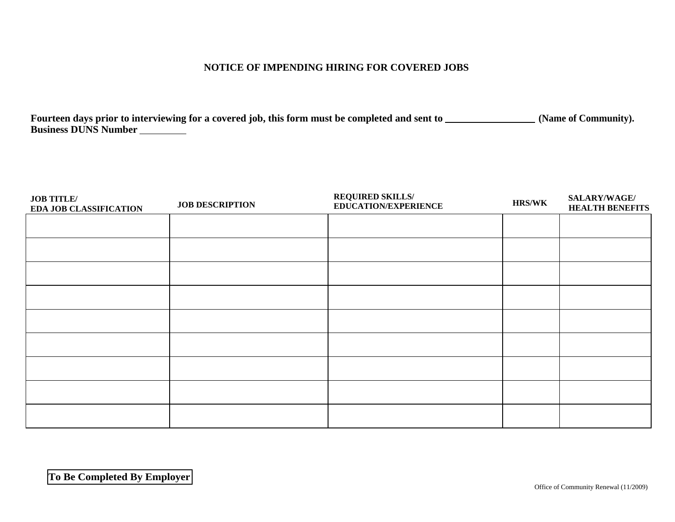# **NOTICE OF IMPENDING HIRING FOR COVERED JOBS**

Fourteen days prior to interviewing for a covered job, this form must be completed and sent to \_\_\_\_\_\_\_\_\_\_\_\_\_\_\_\_(Name of Community). **Business DUNS Number**

| <b>JOB TITLE/</b><br><b>EDA JOB CLASSIFICATION</b> | <b>JOB DESCRIPTION</b> | <b>REQUIRED SKILLS/</b><br><b>EDUCATION/EXPERIENCE</b> | <b>HRS/WK</b> | SALARY/WAGE/<br><b>HEALTH BENEFITS</b> |
|----------------------------------------------------|------------------------|--------------------------------------------------------|---------------|----------------------------------------|
|                                                    |                        |                                                        |               |                                        |
|                                                    |                        |                                                        |               |                                        |
|                                                    |                        |                                                        |               |                                        |
|                                                    |                        |                                                        |               |                                        |
|                                                    |                        |                                                        |               |                                        |
|                                                    |                        |                                                        |               |                                        |
|                                                    |                        |                                                        |               |                                        |
|                                                    |                        |                                                        |               |                                        |
|                                                    |                        |                                                        |               |                                        |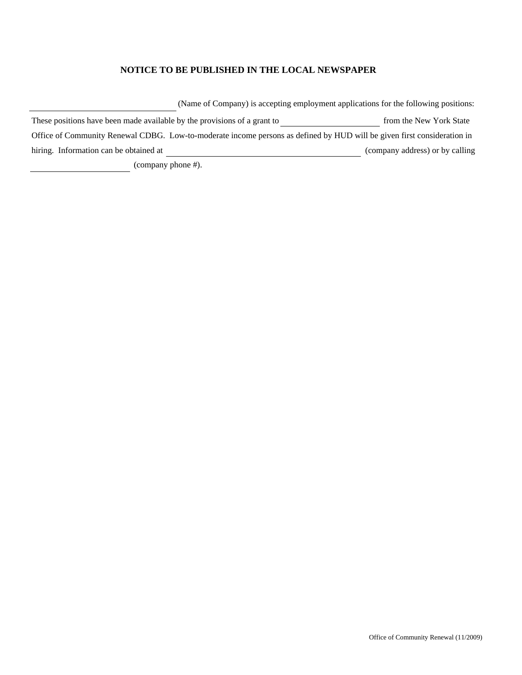## **NOTICE TO BE PUBLISHED IN THE LOCAL NEWSPAPER**

(Name of Company) is accepting employment applications for the following positions:

These positions have been made available by the provisions of a grant to **from the New York State** from the New York State Office of Community Renewal CDBG. Low-to-moderate income persons as defined by HUD will be given first consideration in hiring. Information can be obtained at (company address) or by calling

(company phone #).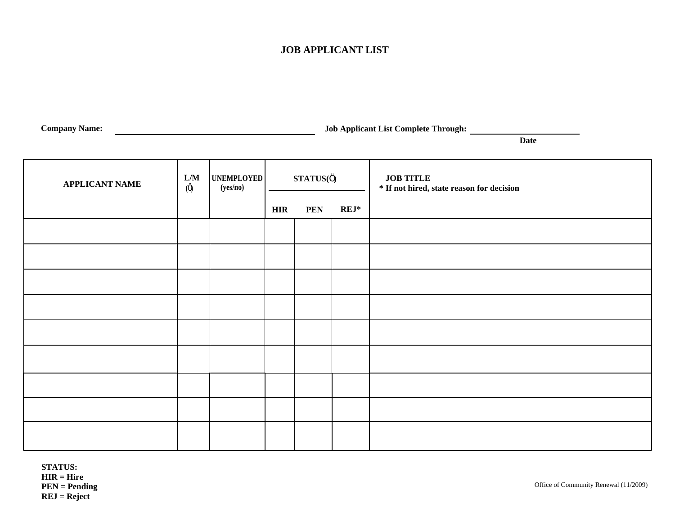# **JOB APPLICANT LIST**

| <b>Ampany</b><br>Name: | Through.<br>. omplete<br>.Iob<br>Annlıcant<br>. Last ' |  |
|------------------------|--------------------------------------------------------|--|
|                        |                                                        |  |

**Date**

| <b>APPLICANT NAME</b> | L/M<br>(0) | UNEMPLOYED<br>(yes/no) |            | STATUS(Ö)             |  | <b>JOB TITLE</b><br>* If not hired, state reason for decision |
|-----------------------|------------|------------------------|------------|-----------------------|--|---------------------------------------------------------------|
|                       |            |                        | <b>HIR</b> | $REJ^*$<br><b>PEN</b> |  |                                                               |
|                       |            |                        |            |                       |  |                                                               |
|                       |            |                        |            |                       |  |                                                               |
|                       |            |                        |            |                       |  |                                                               |
|                       |            |                        |            |                       |  |                                                               |
|                       |            |                        |            |                       |  |                                                               |
|                       |            |                        |            |                       |  |                                                               |
|                       |            |                        |            |                       |  |                                                               |
|                       |            |                        |            |                       |  |                                                               |
|                       |            |                        |            |                       |  |                                                               |